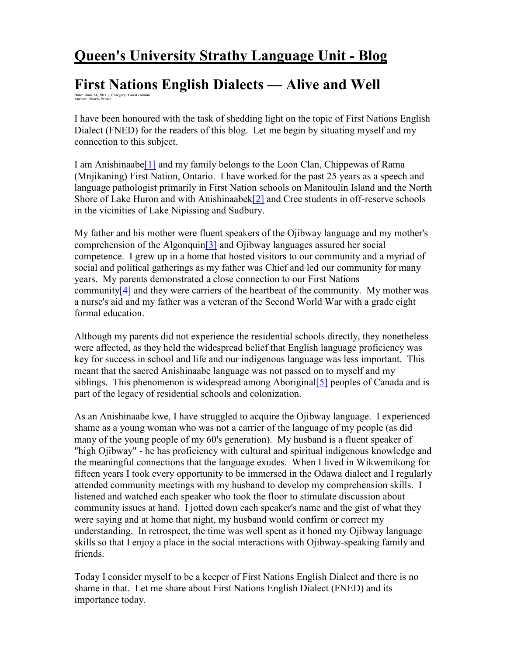# **Queen's University Strathy Language Unit - Blog**

## **First Nations English Dialects — Alive and Well**

**Date: June 24, 2011 | Category: Guest column Author: Sharla Peltier** 

I have been honoured with the task of shedding light on the topic of First Nations English Dialect (FNED) for the readers of this blog. Let me begin by situating myself and my connection to this subject.

I am Anishinaabe[1] and my family belongs to the Loon Clan, Chippewas of Rama (Mnjikaning) First Nation, Ontario. I have worked for the past 25 years as a speech and language pathologist primarily in First Nation schools on Manitoulin Island and the North Shore of Lake Huron and with Anishinaabek<sup>[2]</sup> and Cree students in off-reserve schools in the vicinities of Lake Nipissing and Sudbury.

My father and his mother were fluent speakers of the Ojibway language and my mother's comprehension of the Algonquin[3] and Ojibway languages assured her social competence. I grew up in a home that hosted visitors to our community and a myriad of social and political gatherings as my father was Chief and led our community for many years. My parents demonstrated a close connection to our First Nations community[4] and they were carriers of the heartbeat of the community. My mother was a nurse's aid and my father was a veteran of the Second World War with a grade eight formal education.

Although my parents did not experience the residential schools directly, they nonetheless were affected, as they held the widespread belief that English language proficiency was key for success in school and life and our indigenous language was less important. This meant that the sacred Anishinaabe language was not passed on to myself and my siblings. This phenomenon is widespread among Aboriginal [5] peoples of Canada and is part of the legacy of residential schools and colonization.

As an Anishinaabe kwe, I have struggled to acquire the Ojibway language. I experienced shame as a young woman who was not a carrier of the language of my people (as did many of the young people of my 60's generation). My husband is a fluent speaker of "high Ojibway" - he has proficiency with cultural and spiritual indigenous knowledge and the meaningful connections that the language exudes. When I lived in Wikwemikong for fifteen years I took every opportunity to be immersed in the Odawa dialect and I regularly attended community meetings with my husband to develop my comprehension skills. I listened and watched each speaker who took the floor to stimulate discussion about community issues at hand. I jotted down each speaker's name and the gist of what they were saying and at home that night, my husband would confirm or correct my understanding. In retrospect, the time was well spent as it honed my Ojibway language skills so that I enjoy a place in the social interactions with Ojibway-speaking family and friends.

Today I consider myself to be a keeper of First Nations English Dialect and there is no shame in that. Let me share about First Nations English Dialect (FNED) and its importance today.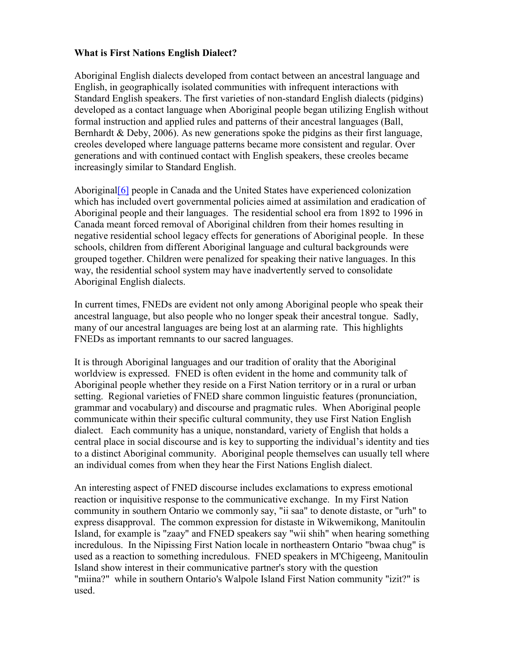#### **What is First Nations English Dialect?**

Aboriginal English dialects developed from contact between an ancestral language and English, in geographically isolated communities with infrequent interactions with Standard English speakers. The first varieties of non-standard English dialects (pidgins) developed as a contact language when Aboriginal people began utilizing English without formal instruction and applied rules and patterns of their ancestral languages (Ball, Bernhardt & Deby, 2006). As new generations spoke the pidgins as their first language, creoles developed where language patterns became more consistent and regular. Over generations and with continued contact with English speakers, these creoles became increasingly similar to Standard English.

Aboriginal[6] people in Canada and the United States have experienced colonization which has included overt governmental policies aimed at assimilation and eradication of Aboriginal people and their languages. The residential school era from 1892 to 1996 in Canada meant forced removal of Aboriginal children from their homes resulting in negative residential school legacy effects for generations of Aboriginal people. In these schools, children from different Aboriginal language and cultural backgrounds were grouped together. Children were penalized for speaking their native languages. In this way, the residential school system may have inadvertently served to consolidate Aboriginal English dialects.

In current times, FNEDs are evident not only among Aboriginal people who speak their ancestral language, but also people who no longer speak their ancestral tongue. Sadly, many of our ancestral languages are being lost at an alarming rate. This highlights FNEDs as important remnants to our sacred languages.

It is through Aboriginal languages and our tradition of orality that the Aboriginal worldview is expressed. FNED is often evident in the home and community talk of Aboriginal people whether they reside on a First Nation territory or in a rural or urban setting. Regional varieties of FNED share common linguistic features (pronunciation, grammar and vocabulary) and discourse and pragmatic rules. When Aboriginal people communicate within their specific cultural community, they use First Nation English dialect. Each community has a unique, nonstandard, variety of English that holds a central place in social discourse and is key to supporting the individual's identity and ties to a distinct Aboriginal community. Aboriginal people themselves can usually tell where an individual comes from when they hear the First Nations English dialect.

An interesting aspect of FNED discourse includes exclamations to express emotional reaction or inquisitive response to the communicative exchange. In my First Nation community in southern Ontario we commonly say, "ii saa" to denote distaste, or "urh" to express disapproval. The common expression for distaste in Wikwemikong, Manitoulin Island, for example is "zaay" and FNED speakers say "wii shih" when hearing something incredulous. In the Nipissing First Nation locale in northeastern Ontario "bwaa chug" is used as a reaction to something incredulous. FNED speakers in M'Chigeeng, Manitoulin Island show interest in their communicative partner's story with the question "miina?" while in southern Ontario's Walpole Island First Nation community "izit?" is used.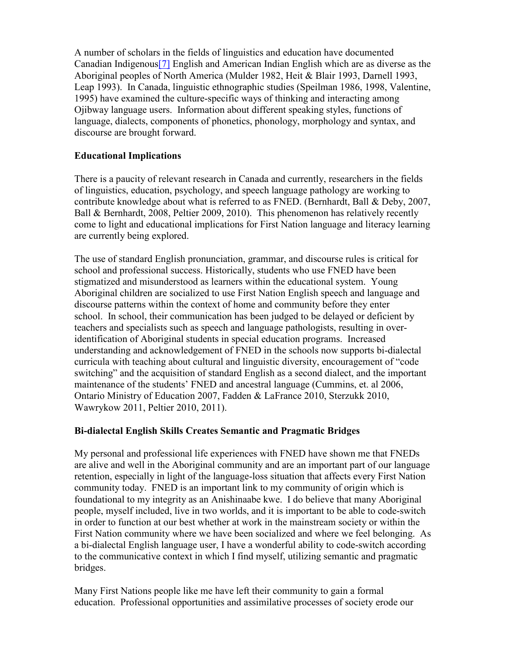A number of scholars in the fields of linguistics and education have documented Canadian Indigenous[7] English and American Indian English which are as diverse as the Aboriginal peoples of North America (Mulder 1982, Heit & Blair 1993, Darnell 1993, Leap 1993). In Canada, linguistic ethnographic studies (Speilman 1986, 1998, Valentine, 1995) have examined the culture-specific ways of thinking and interacting among Ojibway language users. Information about different speaking styles, functions of language, dialects, components of phonetics, phonology, morphology and syntax, and discourse are brought forward.

#### **Educational Implications**

There is a paucity of relevant research in Canada and currently, researchers in the fields of linguistics, education, psychology, and speech language pathology are working to contribute knowledge about what is referred to as FNED. (Bernhardt, Ball & Deby, 2007, Ball & Bernhardt, 2008, Peltier 2009, 2010). This phenomenon has relatively recently come to light and educational implications for First Nation language and literacy learning are currently being explored.

The use of standard English pronunciation, grammar, and discourse rules is critical for school and professional success. Historically, students who use FNED have been stigmatized and misunderstood as learners within the educational system. Young Aboriginal children are socialized to use First Nation English speech and language and discourse patterns within the context of home and community before they enter school. In school, their communication has been judged to be delayed or deficient by teachers and specialists such as speech and language pathologists, resulting in overidentification of Aboriginal students in special education programs. Increased understanding and acknowledgement of FNED in the schools now supports bi-dialectal curricula with teaching about cultural and linguistic diversity, encouragement of "code switching" and the acquisition of standard English as a second dialect, and the important maintenance of the students' FNED and ancestral language (Cummins, et. al 2006, Ontario Ministry of Education 2007, Fadden & LaFrance 2010, Sterzukk 2010, Wawrykow 2011, Peltier 2010, 2011).

#### **Bi-dialectal English Skills Creates Semantic and Pragmatic Bridges**

My personal and professional life experiences with FNED have shown me that FNEDs are alive and well in the Aboriginal community and are an important part of our language retention, especially in light of the language-loss situation that affects every First Nation community today. FNED is an important link to my community of origin which is foundational to my integrity as an Anishinaabe kwe. I do believe that many Aboriginal people, myself included, live in two worlds, and it is important to be able to code-switch in order to function at our best whether at work in the mainstream society or within the First Nation community where we have been socialized and where we feel belonging. As a bi-dialectal English language user, I have a wonderful ability to code-switch according to the communicative context in which I find myself, utilizing semantic and pragmatic bridges.

Many First Nations people like me have left their community to gain a formal education. Professional opportunities and assimilative processes of society erode our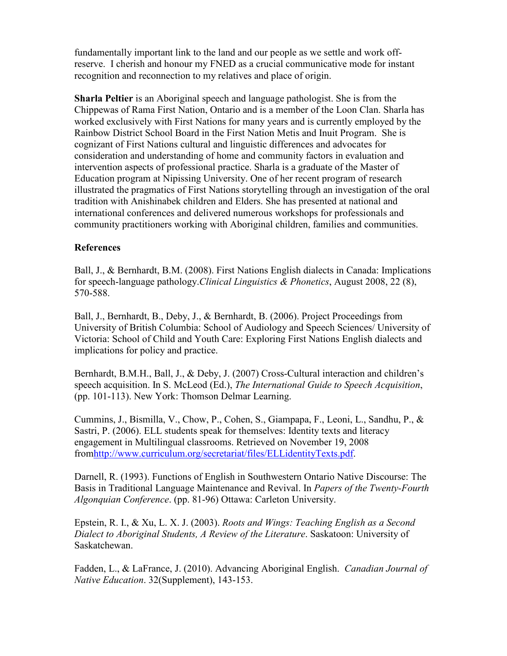fundamentally important link to the land and our people as we settle and work offreserve. I cherish and honour my FNED as a crucial communicative mode for instant recognition and reconnection to my relatives and place of origin.

**Sharla Peltier** is an Aboriginal speech and language pathologist. She is from the Chippewas of Rama First Nation, Ontario and is a member of the Loon Clan. Sharla has worked exclusively with First Nations for many years and is currently employed by the Rainbow District School Board in the First Nation Metis and Inuit Program. She is cognizant of First Nations cultural and linguistic differences and advocates for consideration and understanding of home and community factors in evaluation and intervention aspects of professional practice. Sharla is a graduate of the Master of Education program at Nipissing University. One of her recent program of research illustrated the pragmatics of First Nations storytelling through an investigation of the oral tradition with Anishinabek children and Elders. She has presented at national and international conferences and delivered numerous workshops for professionals and community practitioners working with Aboriginal children, families and communities.

#### **References**

Ball, J., & Bernhardt, B.M. (2008). First Nations English dialects in Canada: Implications for speech-language pathology.*Clinical Linguistics & Phonetics*, August 2008, 22 (8), 570-588.

Ball, J., Bernhardt, B., Deby, J., & Bernhardt, B. (2006). Project Proceedings from University of British Columbia: School of Audiology and Speech Sciences/ University of Victoria: School of Child and Youth Care: Exploring First Nations English dialects and implications for policy and practice.

Bernhardt, B.M.H., Ball, J., & Deby, J. (2007) Cross-Cultural interaction and children's speech acquisition. In S. McLeod (Ed.), *The International Guide to Speech Acquisition*, (pp. 101-113). New York: Thomson Delmar Learning.

Cummins, J., Bismilla, V., Chow, P., Cohen, S., Giampapa, F., Leoni, L., Sandhu, P., & Sastri, P. (2006). ELL students speak for themselves: Identity texts and literacy engagement in Multilingual classrooms. Retrieved on November 19, 2008 fromhttp://www.curriculum.org/secretariat/files/ELLidentityTexts.pdf.

Darnell, R. (1993). Functions of English in Southwestern Ontario Native Discourse: The Basis in Traditional Language Maintenance and Revival. In *Papers of the Twenty-Fourth Algonquian Conference*. (pp. 81-96) Ottawa: Carleton University.

Epstein, R. I., & Xu, L. X. J. (2003). *Roots and Wings: Teaching English as a Second Dialect to Aboriginal Students, A Review of the Literature*. Saskatoon: University of Saskatchewan.

Fadden, L., & LaFrance, J. (2010). Advancing Aboriginal English. *Canadian Journal of Native Education*. 32(Supplement), 143-153.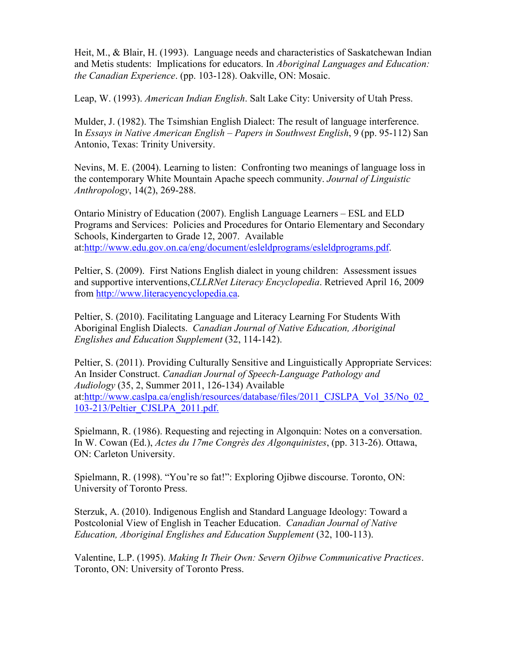Heit, M., & Blair, H. (1993). Language needs and characteristics of Saskatchewan Indian and Metis students: Implications for educators. In *Aboriginal Languages and Education: the Canadian Experience*. (pp. 103-128). Oakville, ON: Mosaic.

Leap, W. (1993). *American Indian English*. Salt Lake City: University of Utah Press.

Mulder, J. (1982). The Tsimshian English Dialect: The result of language interference. In *Essays in Native American English – Papers in Southwest English*, 9 (pp. 95-112) San Antonio, Texas: Trinity University.

Nevins, M. E. (2004). Learning to listen: Confronting two meanings of language loss in the contemporary White Mountain Apache speech community. *Journal of Linguistic Anthropology*, 14(2), 269-288.

Ontario Ministry of Education (2007). English Language Learners – ESL and ELD Programs and Services: Policies and Procedures for Ontario Elementary and Secondary Schools, Kindergarten to Grade 12, 2007. Available at:http://www.edu.gov.on.ca/eng/document/esleldprograms/esleldprograms.pdf.

Peltier, S. (2009). First Nations English dialect in young children: Assessment issues and supportive interventions,*CLLRNet Literacy Encyclopedia*. Retrieved April 16, 2009 from http://www.literacyencyclopedia.ca.

Peltier, S. (2010). Facilitating Language and Literacy Learning For Students With Aboriginal English Dialects. *Canadian Journal of Native Education, Aboriginal Englishes and Education Supplement* (32, 114-142).

Peltier, S. (2011). Providing Culturally Sensitive and Linguistically Appropriate Services: An Insider Construct. *Canadian Journal of Speech-Language Pathology and Audiology* (35, 2, Summer 2011, 126-134) Available at:http://www.caslpa.ca/english/resources/database/files/2011\_CJSLPA\_Vol\_35/No\_02\_ 103-213/Peltier\_CJSLPA\_2011.pdf.

Spielmann, R. (1986). Requesting and rejecting in Algonquin: Notes on a conversation. In W. Cowan (Ed.), *Actes du 17me Congrès des Algonquinistes*, (pp. 313-26). Ottawa, ON: Carleton University.

Spielmann, R. (1998). "You're so fat!": Exploring Ojibwe discourse. Toronto, ON: University of Toronto Press.

Sterzuk, A. (2010). Indigenous English and Standard Language Ideology: Toward a Postcolonial View of English in Teacher Education. *Canadian Journal of Native Education, Aboriginal Englishes and Education Supplement* (32, 100-113).

Valentine, L.P. (1995). *Making It Their Own: Severn Ojibwe Communicative Practices*. Toronto, ON: University of Toronto Press.